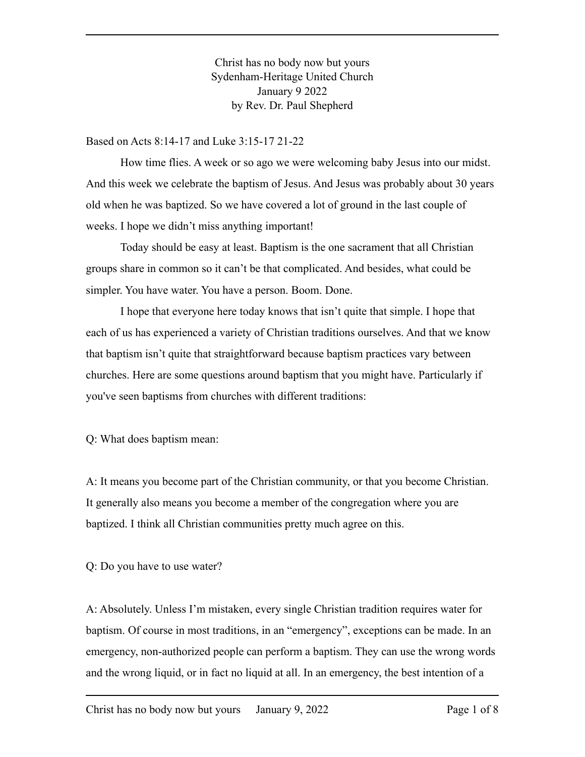Christ has no body now but yours Sydenham-Heritage United Church January 9 2022 by Rev. Dr. Paul Shepherd

Based on Acts 8:14-17 and Luke 3:15-17 21-22

How time flies. A week or so ago we were welcoming baby Jesus into our midst. And this week we celebrate the baptism of Jesus. And Jesus was probably about 30 years old when he was baptized. So we have covered a lot of ground in the last couple of weeks. I hope we didn't miss anything important!

Today should be easy at least. Baptism is the one sacrament that all Christian groups share in common so it can't be that complicated. And besides, what could be simpler. You have water. You have a person. Boom. Done.

I hope that everyone here today knows that isn't quite that simple. I hope that each of us has experienced a variety of Christian traditions ourselves. And that we know that baptism isn't quite that straightforward because baptism practices vary between churches. Here are some questions around baptism that you might have. Particularly if you've seen baptisms from churches with different traditions:

Q: What does baptism mean:

A: It means you become part of the Christian community, or that you become Christian. It generally also means you become a member of the congregation where you are baptized. I think all Christian communities pretty much agree on this.

Q: Do you have to use water?

A: Absolutely. Unless I'm mistaken, every single Christian tradition requires water for baptism. Of course in most traditions, in an "emergency", exceptions can be made. In an emergency, non-authorized people can perform a baptism. They can use the wrong words and the wrong liquid, or in fact no liquid at all. In an emergency, the best intention of a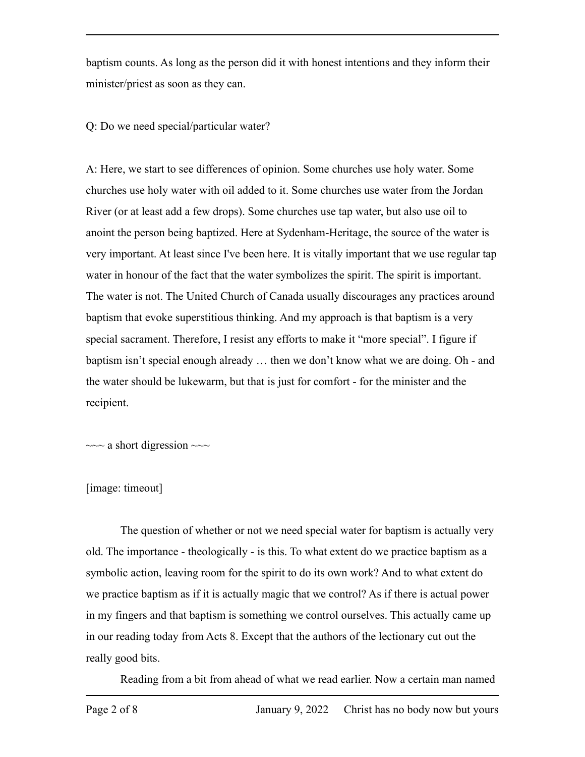baptism counts. As long as the person did it with honest intentions and they inform their minister/priest as soon as they can.

Q: Do we need special/particular water?

A: Here, we start to see differences of opinion. Some churches use holy water. Some churches use holy water with oil added to it. Some churches use water from the Jordan River (or at least add a few drops). Some churches use tap water, but also use oil to anoint the person being baptized. Here at Sydenham-Heritage, the source of the water is very important. At least since I've been here. It is vitally important that we use regular tap water in honour of the fact that the water symbolizes the spirit. The spirit is important. The water is not. The United Church of Canada usually discourages any practices around baptism that evoke superstitious thinking. And my approach is that baptism is a very special sacrament. Therefore, I resist any efforts to make it "more special". I figure if baptism isn't special enough already … then we don't know what we are doing. Oh - and the water should be lukewarm, but that is just for comfort - for the minister and the recipient.

 $\sim$  a short digression  $\sim$ 

## [image: timeout]

The question of whether or not we need special water for baptism is actually very old. The importance - theologically - is this. To what extent do we practice baptism as a symbolic action, leaving room for the spirit to do its own work? And to what extent do we practice baptism as if it is actually magic that we control? As if there is actual power in my fingers and that baptism is something we control ourselves. This actually came up in our reading today from Acts 8. Except that the authors of the lectionary cut out the really good bits.

Reading from a bit from ahead of what we read earlier. Now a certain man named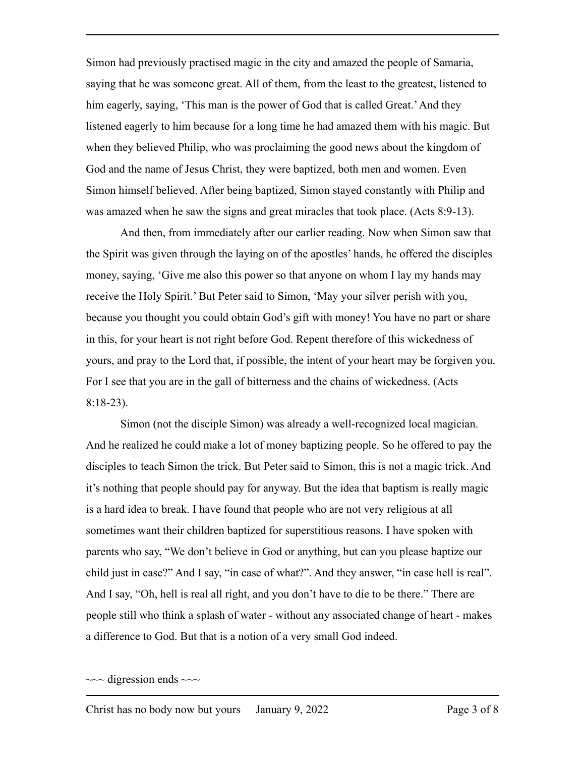Simon had previously practised magic in the city and amazed the people of Samaria, saying that he was someone great. All of them, from the least to the greatest, listened to him eagerly, saying, 'This man is the power of God that is called Great.' And they listened eagerly to him because for a long time he had amazed them with his magic. But when they believed Philip, who was proclaiming the good news about the kingdom of God and the name of Jesus Christ, they were baptized, both men and women. Even Simon himself believed. After being baptized, Simon stayed constantly with Philip and was amazed when he saw the signs and great miracles that took place. (Acts 8:9-13).

And then, from immediately after our earlier reading. Now when Simon saw that the Spirit was given through the laying on of the apostles' hands, he offered the disciples money, saying, 'Give me also this power so that anyone on whom I lay my hands may receive the Holy Spirit.' But Peter said to Simon, 'May your silver perish with you, because you thought you could obtain God's gift with money! You have no part or share in this, for your heart is not right before God. Repent therefore of this wickedness of yours, and pray to the Lord that, if possible, the intent of your heart may be forgiven you. For I see that you are in the gall of bitterness and the chains of wickedness. (Acts 8:18-23).

Simon (not the disciple Simon) was already a well-recognized local magician. And he realized he could make a lot of money baptizing people. So he offered to pay the disciples to teach Simon the trick. But Peter said to Simon, this is not a magic trick. And it's nothing that people should pay for anyway. But the idea that baptism is really magic is a hard idea to break. I have found that people who are not very religious at all sometimes want their children baptized for superstitious reasons. I have spoken with parents who say, "We don't believe in God or anything, but can you please baptize our child just in case?" And I say, "in case of what?". And they answer, "in case hell is real". And I say, "Oh, hell is real all right, and you don't have to die to be there." There are people still who think a splash of water - without any associated change of heart - makes a difference to God. But that is a notion of a very small God indeed.

 $\sim$  digression ends  $\sim$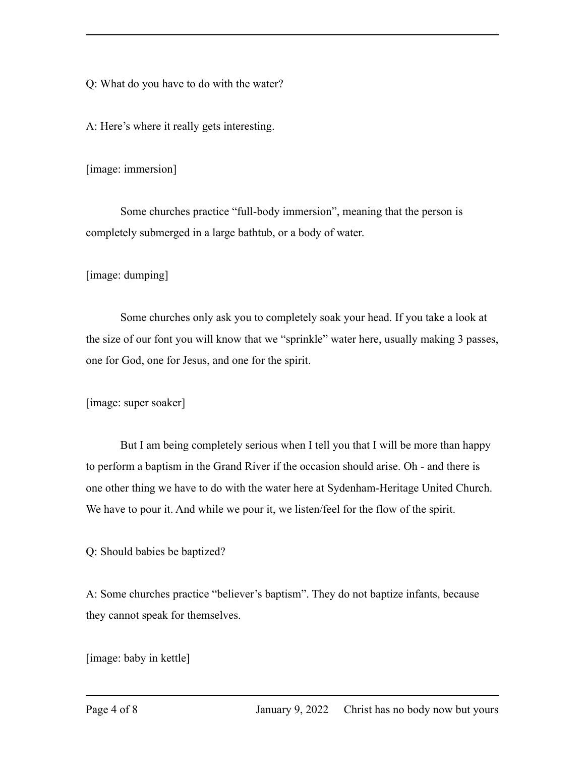Q: What do you have to do with the water?

A: Here's where it really gets interesting.

[image: immersion]

Some churches practice "full-body immersion", meaning that the person is completely submerged in a large bathtub, or a body of water.

[image: dumping]

Some churches only ask you to completely soak your head. If you take a look at the size of our font you will know that we "sprinkle" water here, usually making 3 passes, one for God, one for Jesus, and one for the spirit.

[image: super soaker]

But I am being completely serious when I tell you that I will be more than happy to perform a baptism in the Grand River if the occasion should arise. Oh - and there is one other thing we have to do with the water here at Sydenham-Heritage United Church. We have to pour it. And while we pour it, we listen/feel for the flow of the spirit.

Q: Should babies be baptized?

A: Some churches practice "believer's baptism". They do not baptize infants, because they cannot speak for themselves.

[image: baby in kettle]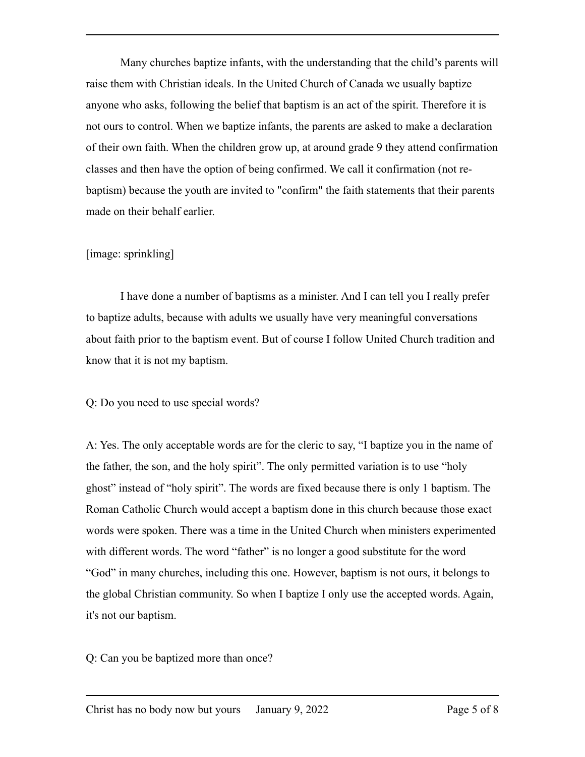Many churches baptize infants, with the understanding that the child's parents will raise them with Christian ideals. In the United Church of Canada we usually baptize anyone who asks, following the belief that baptism is an act of the spirit. Therefore it is not ours to control. When we baptize infants, the parents are asked to make a declaration of their own faith. When the children grow up, at around grade 9 they attend confirmation classes and then have the option of being confirmed. We call it confirmation (not rebaptism) because the youth are invited to "confirm" the faith statements that their parents made on their behalf earlier.

## [image: sprinkling]

I have done a number of baptisms as a minister. And I can tell you I really prefer to baptize adults, because with adults we usually have very meaningful conversations about faith prior to the baptism event. But of course I follow United Church tradition and know that it is not my baptism.

## Q: Do you need to use special words?

A: Yes. The only acceptable words are for the cleric to say, "I baptize you in the name of the father, the son, and the holy spirit". The only permitted variation is to use "holy ghost" instead of "holy spirit". The words are fixed because there is only 1 baptism. The Roman Catholic Church would accept a baptism done in this church because those exact words were spoken. There was a time in the United Church when ministers experimented with different words. The word "father" is no longer a good substitute for the word "God" in many churches, including this one. However, baptism is not ours, it belongs to the global Christian community. So when I baptize I only use the accepted words. Again, it's not our baptism.

Q: Can you be baptized more than once?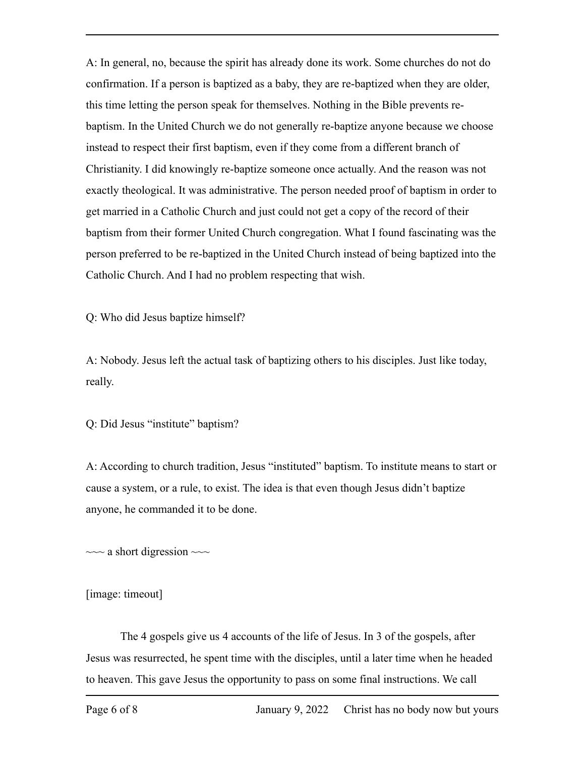A: In general, no, because the spirit has already done its work. Some churches do not do confirmation. If a person is baptized as a baby, they are re-baptized when they are older, this time letting the person speak for themselves. Nothing in the Bible prevents rebaptism. In the United Church we do not generally re-baptize anyone because we choose instead to respect their first baptism, even if they come from a different branch of Christianity. I did knowingly re-baptize someone once actually. And the reason was not exactly theological. It was administrative. The person needed proof of baptism in order to get married in a Catholic Church and just could not get a copy of the record of their baptism from their former United Church congregation. What I found fascinating was the person preferred to be re-baptized in the United Church instead of being baptized into the Catholic Church. And I had no problem respecting that wish.

Q: Who did Jesus baptize himself?

A: Nobody. Jesus left the actual task of baptizing others to his disciples. Just like today, really.

Q: Did Jesus "institute" baptism?

A: According to church tradition, Jesus "instituted" baptism. To institute means to start or cause a system, or a rule, to exist. The idea is that even though Jesus didn't baptize anyone, he commanded it to be done.

 $\sim$  a short digression  $\sim$ 

[image: timeout]

The 4 gospels give us 4 accounts of the life of Jesus. In 3 of the gospels, after Jesus was resurrected, he spent time with the disciples, until a later time when he headed to heaven. This gave Jesus the opportunity to pass on some final instructions. We call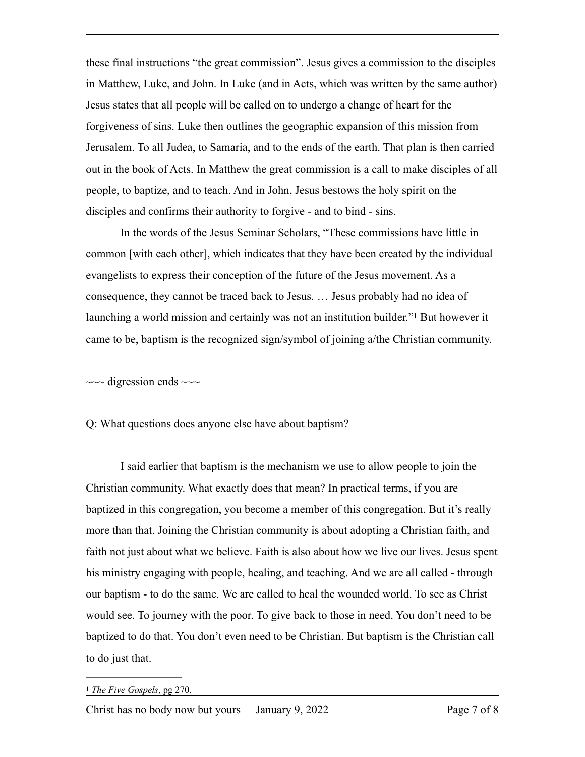these final instructions "the great commission". Jesus gives a commission to the disciples in Matthew, Luke, and John. In Luke (and in Acts, which was written by the same author) Jesus states that all people will be called on to undergo a change of heart for the forgiveness of sins. Luke then outlines the geographic expansion of this mission from Jerusalem. To all Judea, to Samaria, and to the ends of the earth. That plan is then carried out in the book of Acts. In Matthew the great commission is a call to make disciples of all people, to baptize, and to teach. And in John, Jesus bestows the holy spirit on the disciples and confirms their authority to forgive - and to bind - sins.

In the words of the Jesus Seminar Scholars, "These commissions have little in common [with each other], which indicates that they have been created by the individual evangelists to express their conception of the future of the Jesus movement. As a consequence, they cannot be traced back to Jesus. … Jesus probably had no idea of launchinga world mission and certainly was not an institution builder.<sup> $n_1$  $n_1$ </sup> But however it came to be, baptism is the recognized sign/symbol of joining a/the Christian community.

<span id="page-6-1"></span> $\sim$  digression ends  $\sim$ 

Q: What questions does anyone else have about baptism?

I said earlier that baptism is the mechanism we use to allow people to join the Christian community. What exactly does that mean? In practical terms, if you are baptized in this congregation, you become a member of this congregation. But it's really more than that. Joining the Christian community is about adopting a Christian faith, and faith not just about what we believe. Faith is also about how we live our lives. Jesus spent his ministry engaging with people, healing, and teaching. And we are all called - through our baptism - to do the same. We are called to heal the wounded world. To see as Christ would see. To journey with the poor. To give back to those in need. You don't need to be baptized to do that. You don't even need to be Christian. But baptism is the Christian call to do just that.

<span id="page-6-0"></span><sup>&</sup>lt;sup>[1](#page-6-1)</sup> The Five Gospels, pg 270.